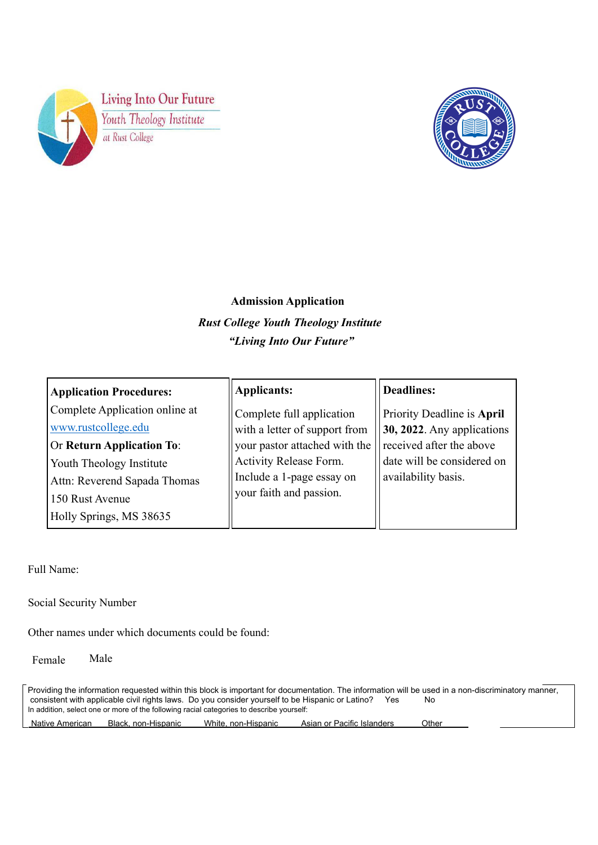



# **Admission Application**  *Rust College Youth Theology Institute "Living Into Our Future"*

| <b>Application Procedures:</b>                                                                                                                                                                      | Applicants:                                                                                                                                                                   | <b>Deadlines:</b>                                                                                                                            |
|-----------------------------------------------------------------------------------------------------------------------------------------------------------------------------------------------------|-------------------------------------------------------------------------------------------------------------------------------------------------------------------------------|----------------------------------------------------------------------------------------------------------------------------------------------|
| Complete Application online at<br>www.rustcollege.edu<br><b>Or Return Application To:</b><br>Youth Theology Institute<br>Attn: Reverend Sapada Thomas<br>150 Rust Avenue<br>Holly Springs, MS 38635 | Complete full application<br>with a letter of support from<br>your pastor attached with the<br>Activity Release Form.<br>Include a 1-page essay on<br>your faith and passion. | Priority Deadline is April<br>$30, 2022$ . Any applications<br>received after the above<br>date will be considered on<br>availability basis. |

Full Name:

Social Security Number….. Social Security Number

Other names under which documents could be found:

Female Male

Providing the information requested within this block is important for documentation. The information will be used in a non-discriminatory manner, consistent with applicable civil rights laws. Do you consider yourself to be Hispanic or Latino? Yes No In addition, select one or more of the following racial categories to describe yourself: Native American Black, non-Hispanic White, non-Hispanic Asian or Pacific Islanders Other…….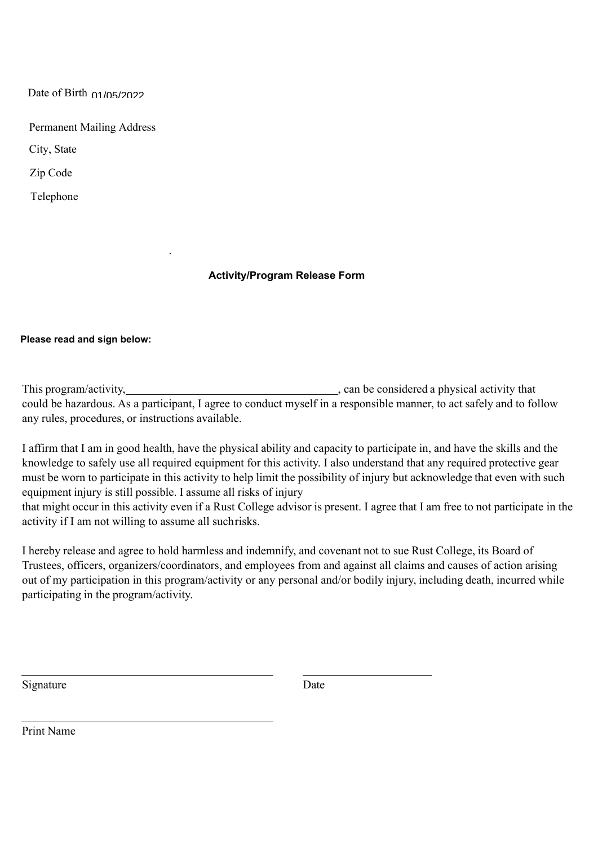Date of Birth ……. Date of Birth 01/05/2022

Permanent Mailing Address City, State

Zip Code…. .

Zip Code

Telephone

# **Activity/Program Release Form**

## **Please read and sign below:**

This program/activity, https://www.can be considered a physical activity that could be hazardous. As a participant, I agree to conduct myself in a responsible manner, to act safely and to follow any rules, procedures, or instructions available.

I affirm that I am in good health, have the physical ability and capacity to participate in, and have the skills and the knowledge to safely use all required equipment for this activity. I also understand that any required protective gear must be worn to participate in this activity to help limit the possibility of injury but acknowledge that even with such equipment injury is still possible. I assume all risks of injury

that might occur in this activity even if a Rust College advisor is present. I agree that I am free to not participate in the activity if I am not willing to assume all such risks.

I hereby release and agree to hold harmless and indemnify, and covenant not to sue Rust College, its Board of Trustees, officers, organizers/coordinators, and employees from and against all claims and causes of action arising out of my participation in this program/activity or any personal and/or bodily injury, including death, incurred while participating in the program/activity.

Signature Date

Print Name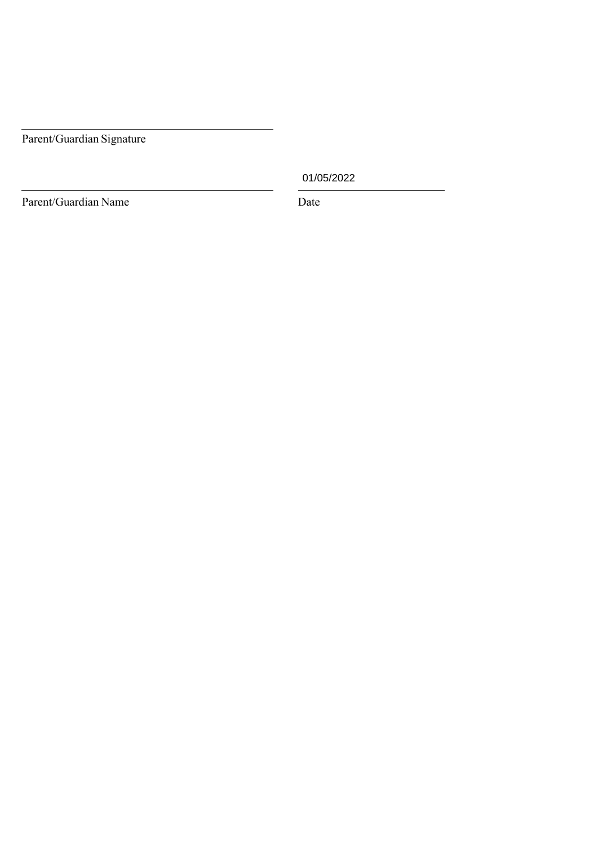Parent/Guardian Signature

01/05/2022

Parent/Guardian Name Date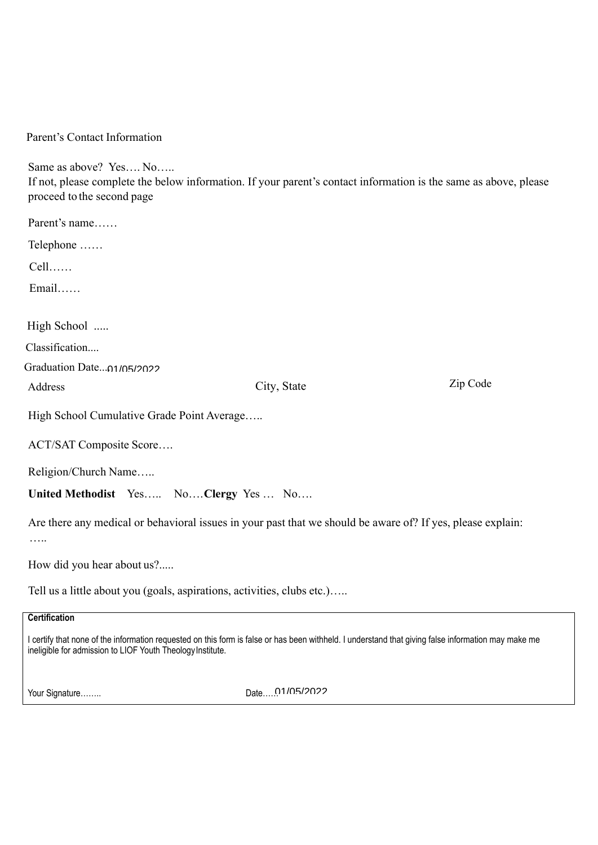Parent's Contact Information

Same as above? Yes…. No….. If not, please complete the below information. If your parent's contact information is the same as above, please proceed to the second page Parent's name……

Telephone ……

Cell……

Email……

High School .....

Classification....

Classification…. Graduation Date…. Graduation Date.... 01/05/2022

Address

Address  $City$ , State  $Zip$  Code

High School Cumulative Grade Point Average…..

ACT/SAT Composite Score….

Religion/Church Name…..

**United Methodist** Yes….. No…. **Clergy** Yes … No….

Are there any medical or behavioral issues in your past that we should be aware of? If yes, please explain: ….

How did you hear about us?.....

Tell us a little about you (goals, aspirations, activities, clubs etc.)…..

# **Certification**

I certify that none of the information requested on this form is false or has been withheld. I understand that giving false information may make me ineligible for admission to LIOF Youth Theology Institute.

Your Signature…….

01/05/2022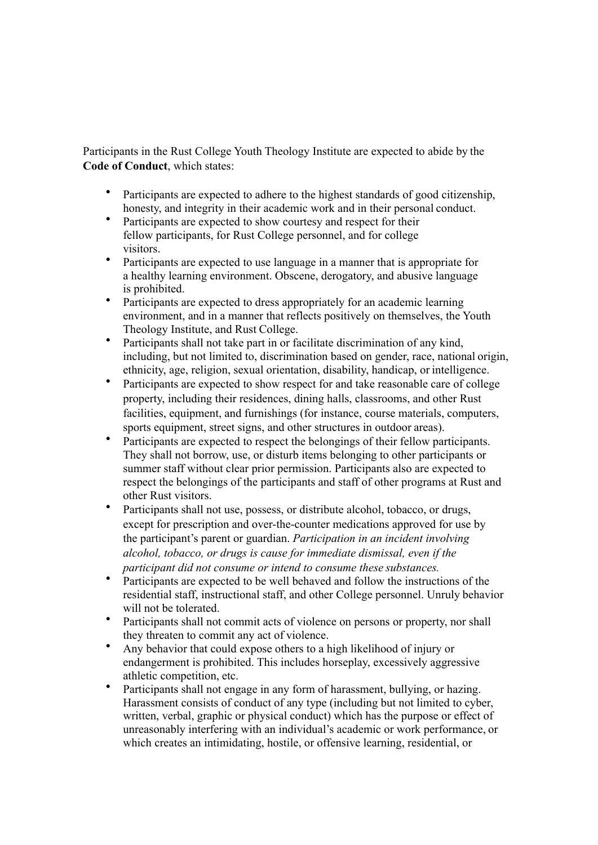Participants in the Rust College Youth Theology Institute are expected to abide by the **Code of Conduct**, which states:

- Participants are expected to adhere to the highest standards of good citizenship, honesty, and integrity in their academic work and in their personal conduct.
- Participants are expected to show courtesy and respect for their fellow participants, for Rust College personnel, and for college visitors.
- Participants are expected to use language in a manner that is appropriate for a healthy learning environment. Obscene, derogatory, and abusive language is prohibited.
- Participants are expected to dress appropriately for an academic learning environment, and in a manner that reflects positively on themselves, the Youth Theology Institute, and Rust College.
- Participants shall not take part in or facilitate discrimination of any kind, including, but not limited to, discrimination based on gender, race, national origin, ethnicity, age, religion, sexual orientation, disability, handicap, or intelligence.
- Participants are expected to show respect for and take reasonable care of college property, including their residences, dining halls, classrooms, and other Rust facilities, equipment, and furnishings (for instance, course materials, computers, sports equipment, street signs, and other structures in outdoor areas).
- Participants are expected to respect the belongings of their fellow participants. They shall not borrow, use, or disturb items belonging to other participants or summer staff without clear prior permission. Participants also are expected to respect the belongings of the participants and staff of other programs at Rust and other Rust visitors.
- Participants shall not use, possess, or distribute alcohol, tobacco, or drugs, except for prescription and over-the-counter medications approved for use by the participant's parent or guardian. *Participation in an incident involving alcohol, tobacco, or drugs is cause for immediate dismissal, even if the participant did not consume or intend to consume these substances.*
- Participants are expected to be well behaved and follow the instructions of the residential staff, instructional staff, and other College personnel. Unruly behavior will not be tolerated.
- Participants shall not commit acts of violence on persons or property, nor shall they threaten to commit any act of violence.
- Any behavior that could expose others to a high likelihood of injury or endangerment is prohibited. This includes horseplay, excessively aggressive athletic competition, etc.
- Participants shall not engage in any form of harassment, bullying, or hazing. Harassment consists of conduct of any type (including but not limited to cyber, written, verbal, graphic or physical conduct) which has the purpose or effect of unreasonably interfering with an individual's academic or work performance, or which creates an intimidating, hostile, or offensive learning, residential, or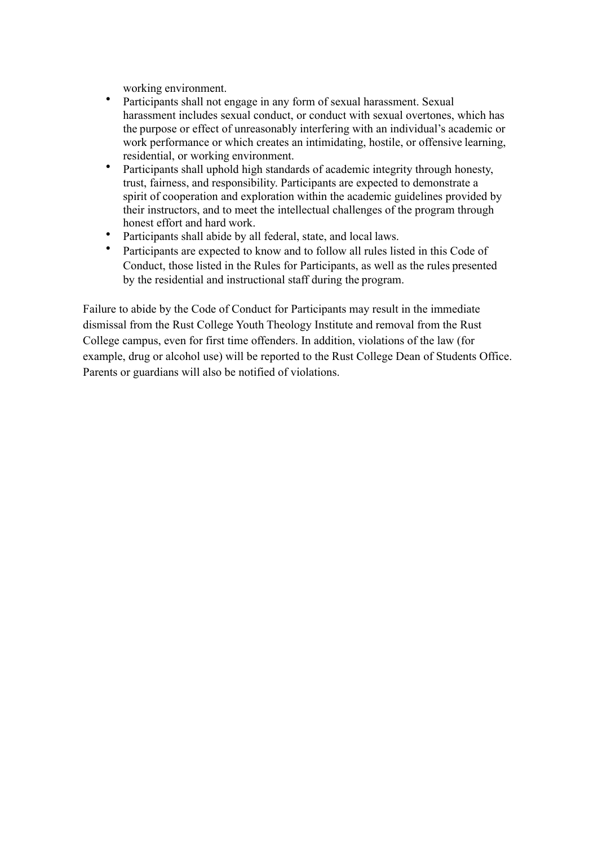working environment.

- Participants shall not engage in any form of sexual harassment. Sexual harassment includes sexual conduct, or conduct with sexual overtones, which has the purpose or effect of unreasonably interfering with an individual's academic or work performance or which creates an intimidating, hostile, or offensive learning, residential, or working environment.
- Participants shall uphold high standards of academic integrity through honesty, trust, fairness, and responsibility. Participants are expected to demonstrate a spirit of cooperation and exploration within the academic guidelines provided by their instructors, and to meet the intellectual challenges of the program through honest effort and hard work.
- Participants shall abide by all federal, state, and local laws.
- Participants are expected to know and to follow all rules listed in this Code of Conduct, those listed in the Rules for Participants, as well as the rules presented by the residential and instructional staff during the program.

Failure to abide by the Code of Conduct for Participants may result in the immediate dismissal from the Rust College Youth Theology Institute and removal from the Rust College campus, even for first time offenders. In addition, violations of the law (for example, drug or alcohol use) will be reported to the Rust College Dean of Students Office. Parents or guardians will also be notified of violations.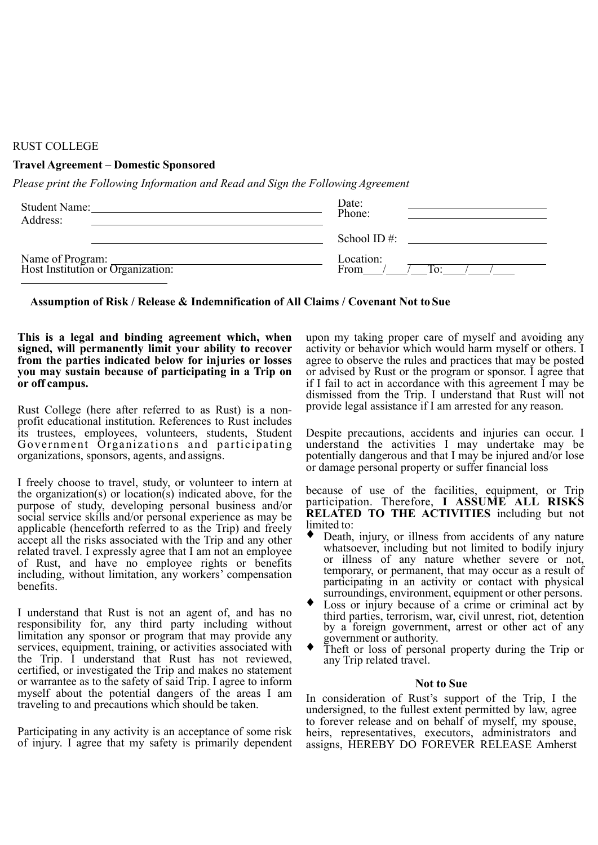### RUST COLLEGE

## **Travel Agreement – Domestic Sponsored**

*Please print the Following Information and Read and Sign the Following Agreement*

| <b>Student Name:</b><br>Address:                      | Date:<br>Phone:   |  |
|-------------------------------------------------------|-------------------|--|
|                                                       | School ID $#$ :   |  |
| Name of Program:<br>Host Institution or Organization: | Location:<br>From |  |

## **Assumption of Risk / Release & Indemnification of All Claims / Covenant Not to Sue**

#### **This is a legal and binding agreement which, when signed, will permanently limit your ability to recover from the parties indicated below for injuries or losses you may sustain because of participating in a Trip on or off campus.**

Rust College (here after referred to as Rust) is a nonprofit educational institution. References to Rust includes its trustees, employees, volunteers, students, Student Government Organizations and participating organizations, sponsors, agents, and assigns.

I freely choose to travel, study, or volunteer to intern at the organization(s) or location(s) indicated above, for the purpose of study, developing personal business and/or social service skills and/or personal experience as may be applicable (henceforth referred to as the Trip) and freely accept all the risks associated with the Trip and any other related travel. I expressly agree that I am not an employee of Rust, and have no employee rights or benefits including, without limitation, any workers' compensation benefits.

I understand that Rust is not an agent of, and has no responsibility for, any third party including without limitation any sponsor or program that may provide any services, equipment, training, or activities associated with the Trip. I understand that Rust has not reviewed, certified, or investigated the Trip and makes no statement or warrantee as to the safety of said Trip. I agree to inform myself about the potential dangers of the areas I am traveling to and precautions which should be taken.

Participating in any activity is an acceptance of some risk of injury. I agree that my safety is primarily dependent

upon my taking proper care of myself and avoiding any activity or behavior which would harm myself or others. I agree to observe the rules and practices that may be posted or advised by Rust or the program or sponsor. I agree that if I fail to act in accordance with this agreement I may be dismissed from the Trip. I understand that Rust will not provide legal assistance if I am arrested for any reason.

Despite precautions, accidents and injuries can occur. I understand the activities I may undertake may be potentially dangerous and that I may be injured and/or lose or damage personal property or suffer financial loss

because of use of the facilities, equipment, or Trip participation. Therefore, **I ASSUME ALL RISKS RELATED TO THE ACTIVITIES** including but not limited to:

- Death, injury, or illness from accidents of any nature whatsoever, including but not limited to bodily injury or illness of any nature whether severe or not, temporary, or permanent, that may occur as a result of participating in an activity or contact with physical surroundings, environment, equipment or other persons.
- Loss or injury because of a crime or criminal act by third parties, terrorism, war, civil unrest, riot, detention by a foreign government, arrest or other act of any government or authority.
- ♦ Theft or loss of personal property during the Trip or any Trip related travel.

#### **Not to Sue**

In consideration of Rust's support of the Trip, I the undersigned, to the fullest extent permitted by law, agree to forever release and on behalf of myself, my spouse, heirs, representatives, executors, administrators and assigns, HEREBY DO FOREVER RELEASE Amherst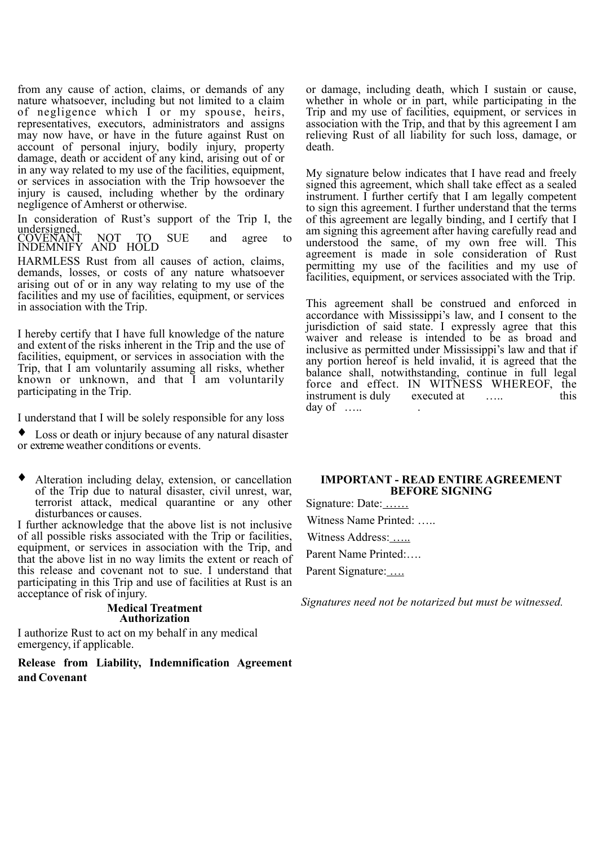from any cause of action, claims, or demands of any nature whatsoever, including but not limited to a claim of negligence which  $\overline{I}$  or my spouse, heirs, representatives, executors, administrators and assigns may now have, or have in the future against Rust on account of personal injury, bodily injury, property damage, death or accident of any kind, arising out of or in any way related to my use of the facilities, equipment, or services in association with the Trip howsoever the injury is caused, including whether by the ordinary negligence of Amherst or otherwise.

In consideration of Rust's support of the Trip I, the undersigned,

COVENANT NOT TO SUE and agree to INDEMNIFY AND HOLD

HARMLESS Rust from all causes of action, claims, demands, losses, or costs of any nature whatsoever arising out of or in any way relating to my use of the facilities and my use of facilities, equipment, or services in association with the Trip.

I hereby certify that I have full knowledge of the nature and extent of the risks inherent in the Trip and the use of facilities, equipment, or services in association with the Trip, that I am voluntarily assuming all risks, whether known or unknown, and that I am voluntarily participating in the Trip.

I understand that I will be solely responsible for any loss

Loss or death or injury because of any natural disaster or extreme weather conditions or events.

♦ Alteration including delay, extension, or cancellation of the Trip due to natural disaster, civil unrest, war, terrorist attack, medical quarantine or any other disturbances or causes.

I further acknowledge that the above list is not inclusive of all possible risks associated with the Trip or facilities, equipment, or services in association with the Trip, and that the above list in no way limits the extent or reach of this release and covenant not to sue. I understand that participating in this Trip and use of facilities at Rust is an acceptance of risk of injury.

#### **Medical Treatment Authorization**

I authorize Rust to act on my behalf in any medical emergency, if applicable.

**Release from Liability, Indemnification Agreement and Covenant**

or damage, including death, which I sustain or cause, whether in whole or in part, while participating in the Trip and my use of facilities, equipment, or services in association with the Trip, and that by this agreement I am relieving Rust of all liability for such loss, damage, or death.

My signature below indicates that I have read and freely signed this agreement, which shall take effect as a sealed instrument. I further certify that I am legally competent to sign this agreement. I further understand that the terms of this agreement are legally binding, and I certify that I am signing this agreement after having carefully read and understood the same, of my own free will. This agreement is made in sole consideration of Rust permitting my use of the facilities and my use of facilities, equipment, or services associated with the Trip.

This agreement shall be construed and enforced in accordance with Mississippi's law, and I consent to the jurisdiction of said state. I expressly agree that this waiver and release is intended to be as broad and inclusive as permitted under Mississippi's law and that if any portion hereof is held invalid, it is agreed that the balance shall, notwithstanding, continue in full legal force and effect. IN WITNESS WHEREOF, the instrument is duly executed at this instrument is duly executed at ….. day of  $\dots$ 

#### **IMPORTANT - READ ENTIRE AGREEMENT BEFORE SIGNING**

Signature: Date: …… Witness Name Printed: ….. Witness Address: ….. Parent Name Printed:…. Parent Signature: ....

*Signatures need not be notarized but must be witnessed.*